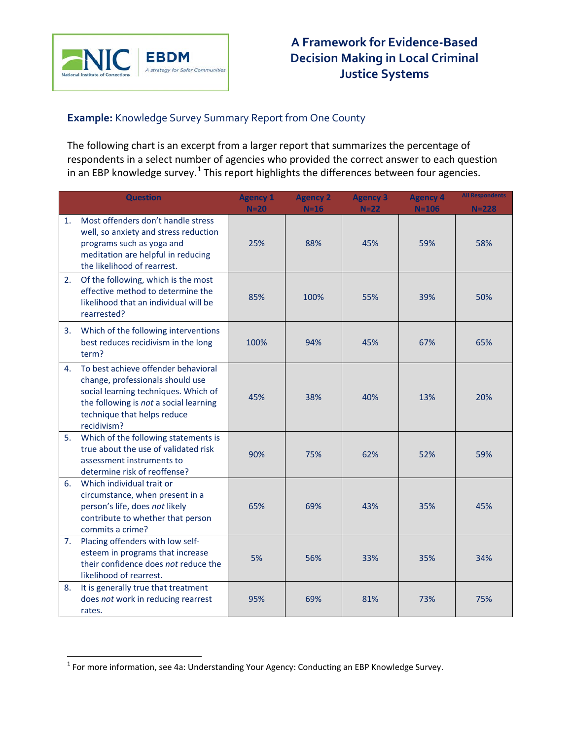

## **Example:** Knowledge Survey Summary Report from One County

The following chart is an excerpt from a larger report that summarizes the percentage of respondents in a select number of agencies who provided the correct answer to each question in an EBP knowledge survey.<sup>[1](#page-0-0)</sup> This report highlights the differences between four agencies.

|    | <b>Question</b>                                                                                                                                                                                         | <b>Agency 1</b> | <b>Agency 2</b> | <b>Agency 3</b> | <b>Agency 4</b>  | <b>All Respondents</b> |
|----|---------------------------------------------------------------------------------------------------------------------------------------------------------------------------------------------------------|-----------------|-----------------|-----------------|------------------|------------------------|
| 1. | Most offenders don't handle stress<br>well, so anxiety and stress reduction<br>programs such as yoga and<br>meditation are helpful in reducing<br>the likelihood of rearrest.                           | $N=20$<br>25%   | $N=16$<br>88%   | $N=22$<br>45%   | $N = 106$<br>59% | $N = 228$<br>58%       |
| 2. | Of the following, which is the most<br>effective method to determine the<br>likelihood that an individual will be<br>rearrested?                                                                        | 85%             | 100%            | 55%             | 39%              | 50%                    |
| 3. | Which of the following interventions<br>best reduces recidivism in the long<br>term?                                                                                                                    | 100%            | 94%             | 45%             | 67%              | 65%                    |
| 4. | To best achieve offender behavioral<br>change, professionals should use<br>social learning techniques. Which of<br>the following is not a social learning<br>technique that helps reduce<br>recidivism? | 45%             | 38%             | 40%             | 13%              | 20%                    |
| 5. | Which of the following statements is<br>true about the use of validated risk<br>assessment instruments to<br>determine risk of reoffense?                                                               | 90%             | 75%             | 62%             | 52%              | 59%                    |
| 6. | Which individual trait or<br>circumstance, when present in a<br>person's life, does not likely<br>contribute to whether that person<br>commits a crime?                                                 | 65%             | 69%             | 43%             | 35%              | 45%                    |
| 7. | Placing offenders with low self-<br>esteem in programs that increase<br>their confidence does not reduce the<br>likelihood of rearrest.                                                                 | 5%              | 56%             | 33%             | 35%              | 34%                    |
| 8. | It is generally true that treatment<br>does not work in reducing rearrest<br>rates.                                                                                                                     | 95%             | 69%             | 81%             | 73%              | 75%                    |

 $\overline{a}$ 

<span id="page-0-0"></span> $^1$  For more information, see 4a: Understanding Your Agency: Conducting an EBP Knowledge Survey.